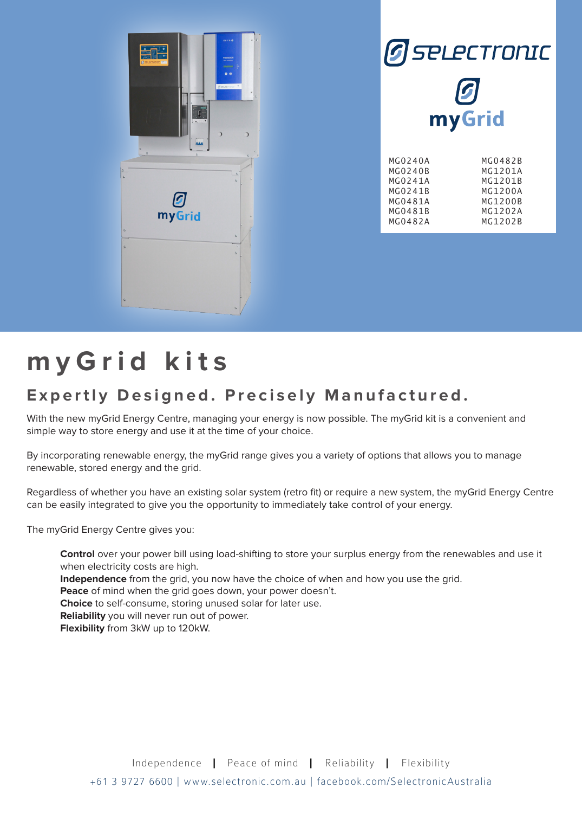



| MG0240B | MG1201A |
|---------|---------|
| MG0241A | MG1201B |
| MG0241B | MG1200A |
| MG0481A | MG1200B |
| MG0481B | MG1202A |
| MG0482A | MG1202B |
|         |         |

## **myGrid kits**

## **Expertly Designed. Precisely Manufactured.**

With the new myGrid Energy Centre, managing your energy is now possible. The myGrid kit is a convenient and simple way to store energy and use it at the time of your choice.

By incorporating renewable energy, the myGrid range gives you a variety of options that allows you to manage renewable, stored energy and the grid.

Regardless of whether you have an existing solar system (retro fit) or require a new system, the myGrid Energy Centre can be easily integrated to give you the opportunity to immediately take control of your energy.

The myGrid Energy Centre gives you:

**Control** over your power bill using load-shifting to store your surplus energy from the renewables and use it when electricity costs are high.

**Independence** from the grid, you now have the choice of when and how you use the grid.

**Peace** of mind when the grid goes down, your power doesn't.

**Choice** to self-consume, storing unused solar for later use.

**Reliability** you will never run out of power.

**Flexibility** from 3kW up to 120kW.